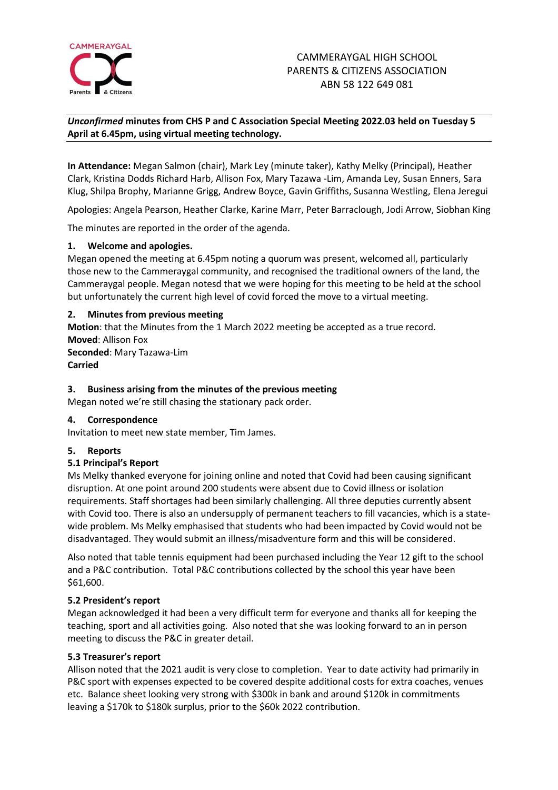

# *Unconfirmed* **minutes from CHS P and C Association Special Meeting 2022.03 held on Tuesday 5 April at 6.45pm, using virtual meeting technology.**

**In Attendance:** Megan Salmon (chair), Mark Ley (minute taker), Kathy Melky (Principal), Heather Clark, Kristina Dodds Richard Harb, Allison Fox, Mary Tazawa -Lim, Amanda Ley, Susan Enners, Sara Klug, Shilpa Brophy, Marianne Grigg, Andrew Boyce, Gavin Griffiths, Susanna Westling, Elena Jeregui

Apologies: Angela Pearson, Heather Clarke, Karine Marr, Peter Barraclough, Jodi Arrow, Siobhan King

The minutes are reported in the order of the agenda.

## **1. Welcome and apologies.**

Megan opened the meeting at 6.45pm noting a quorum was present, welcomed all, particularly those new to the Cammeraygal community, and recognised the traditional owners of the land, the Cammeraygal people. Megan notesd that we were hoping for this meeting to be held at the school but unfortunately the current high level of covid forced the move to a virtual meeting.

## **2. Minutes from previous meeting**

**Motion**: that the Minutes from the 1 March 2022 meeting be accepted as a true record. **Moved**: Allison Fox **Seconded**: Mary Tazawa-Lim **Carried**

## **3. Business arising from the minutes of the previous meeting**

Megan noted we're still chasing the stationary pack order.

## **4. Correspondence**

Invitation to meet new state member, Tim James.

## **5. Reports**

## **5.1 Principal's Report**

Ms Melky thanked everyone for joining online and noted that Covid had been causing significant disruption. At one point around 200 students were absent due to Covid illness or isolation requirements. Staff shortages had been similarly challenging. All three deputies currently absent with Covid too. There is also an undersupply of permanent teachers to fill vacancies, which is a statewide problem. Ms Melky emphasised that students who had been impacted by Covid would not be disadvantaged. They would submit an illness/misadventure form and this will be considered.

Also noted that table tennis equipment had been purchased including the Year 12 gift to the school and a P&C contribution. Total P&C contributions collected by the school this year have been \$61,600.

## **5.2 President's report**

Megan acknowledged it had been a very difficult term for everyone and thanks all for keeping the teaching, sport and all activities going. Also noted that she was looking forward to an in person meeting to discuss the P&C in greater detail.

## **5.3 Treasurer's report**

Allison noted that the 2021 audit is very close to completion. Year to date activity had primarily in P&C sport with expenses expected to be covered despite additional costs for extra coaches, venues etc. Balance sheet looking very strong with \$300k in bank and around \$120k in commitments leaving a \$170k to \$180k surplus, prior to the \$60k 2022 contribution.